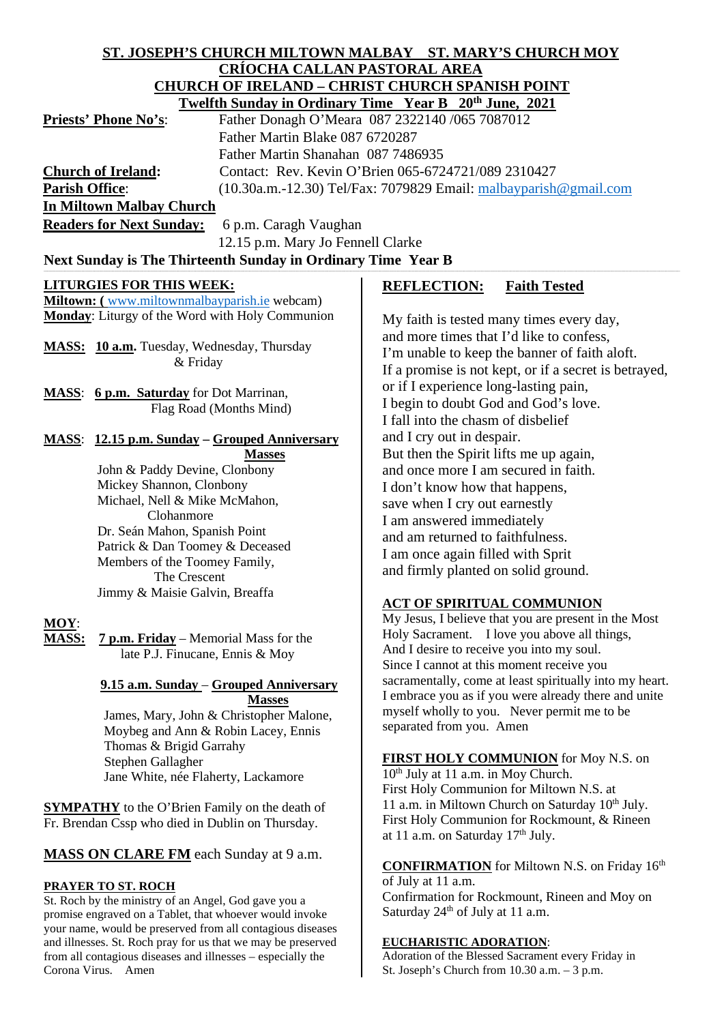#### **ST. JOSEPH'S CHURCH MILTOWN MALBAY ST. MARY'S CHURCH MOY CRÍOCHA CALLAN PASTORAL AREA CHURCH OF IRELAND – CHRIST CHURCH SPANISH POINT Twelfth Sunday in Ordinary Time Year B 20th June, 2021**

|                                 | I well in Sunday in Ordinary Time rear $\mathbf{D}$ 20 June, 2021  |
|---------------------------------|--------------------------------------------------------------------|
| <b>Priests' Phone No's:</b>     | Father Donagh O'Meara 087 2322140 /065 7087012                     |
|                                 | Father Martin Blake 087 6720287                                    |
|                                 | Father Martin Shanahan 087 7486935                                 |
| <b>Church of Ireland:</b>       | Contact: Rev. Kevin O'Brien 065-6724721/089 2310427                |
| <b>Parish Office:</b>           | $(10.30a.m.-12.30)$ Tel/Fax: 7079829 Email: malbayparish@gmail.com |
| <b>In Miltown Malbay Church</b> |                                                                    |
|                                 | <b>Readers for Next Sunday:</b> 6 p.m. Caragh Vaughan              |
|                                 | 12.15 p.m. Mary Jo Fennell Clarke                                  |

### Next Sunday is The Thirteenth Sunday in Ordinary Time Year B

#### **LITURGIES FOR THIS WEEK:**

**Miltown: (** [www.miltownmalbayparish.ie](http://www.miltownmalbayparish.ie/) webcam) **Monday**: Liturgy of the Word with Holy Communion

**MASS: 10 a.m.** Tuesday, Wednesday, Thursday & Friday

**MASS**: **6 p.m. Saturday** for Dot Marrinan, Flag Road (Months Mind)

### **MASS**: **12.15 p.m. Sunday – Grouped Anniversary**

**Masses**

 John & Paddy Devine, Clonbony Mickey Shannon, Clonbony Michael, Nell & Mike McMahon, Clohanmore Dr. Seán Mahon, Spanish Point Patrick & Dan Toomey & Deceased Members of the Toomey Family, The Crescent Jimmy & Maisie Galvin, Breaffa

### **MOY**:

**MASS: 7 p.m. Friday** – Memorial Mass for the late P.J. Finucane, Ennis & Moy

# **9.15 a.m. Sunday** – **Grouped Anniversary**

 **Masses** James, Mary, John & Christopher Malone, Moybeg and Ann & Robin Lacey, Ennis Thomas & Brigid Garrahy Stephen Gallagher Jane White, née Flaherty, Lackamore

**SYMPATHY** to the O'Brien Family on the death of Fr. Brendan Cssp who died in Dublin on Thursday.

**MASS ON CLARE FM** each Sunday at 9 a.m.

### **PRAYER TO ST. ROCH**

St. Roch by the ministry of an Angel, God gave you a promise engraved on a Tablet, that whoever would invoke your name, would be preserved from all contagious diseases and illnesses. St. Roch pray for us that we may be preserved from all contagious diseases and illnesses – especially the Corona Virus. Amen

## **REFLECTION: Faith Tested**

My faith is tested many times every day, and more times that I'd like to confess, I'm unable to keep the banner of faith aloft. If a promise is not kept, or if a secret is betrayed, or if I experience long-lasting pain, I begin to doubt God and God's love. I fall into the chasm of disbelief and I cry out in despair. But then the Spirit lifts me up again, and once more I am secured in faith. I don't know how that happens, save when I cry out earnestly I am answered immediately and am returned to faithfulness. I am once again filled with Sprit and firmly planted on solid ground.

### **ACT OF SPIRITUAL COMMUNION**

My Jesus, I believe that you are present in the Most Holy Sacrament. I love you above all things, And I desire to receive you into my soul. Since I cannot at this moment receive you sacramentally, come at least spiritually into my heart. I embrace you as if you were already there and unite myself wholly to you. Never permit me to be separated from you. Amen

### **FIRST HOLY COMMUNION** for Moy N.S. on

 $10<sup>th</sup>$  July at 11 a.m. in Mov Church. First Holy Communion for Miltown N.S. at 11 a.m. in Miltown Church on Saturday 10<sup>th</sup> July. First Holy Communion for Rockmount, & Rineen at 11 a.m. on Saturday  $17<sup>th</sup>$  July.

#### **CONFIRMATION** for Miltown N.S. on Friday 16th of July at 11 a.m. Confirmation for Rockmount, Rineen and Moy on Saturday  $24<sup>th</sup>$  of July at 11 a.m.

### **EUCHARISTIC ADORATION**:

Adoration of the Blessed Sacrament every Friday in St. Joseph's Church from 10.30 a.m. – 3 p.m.